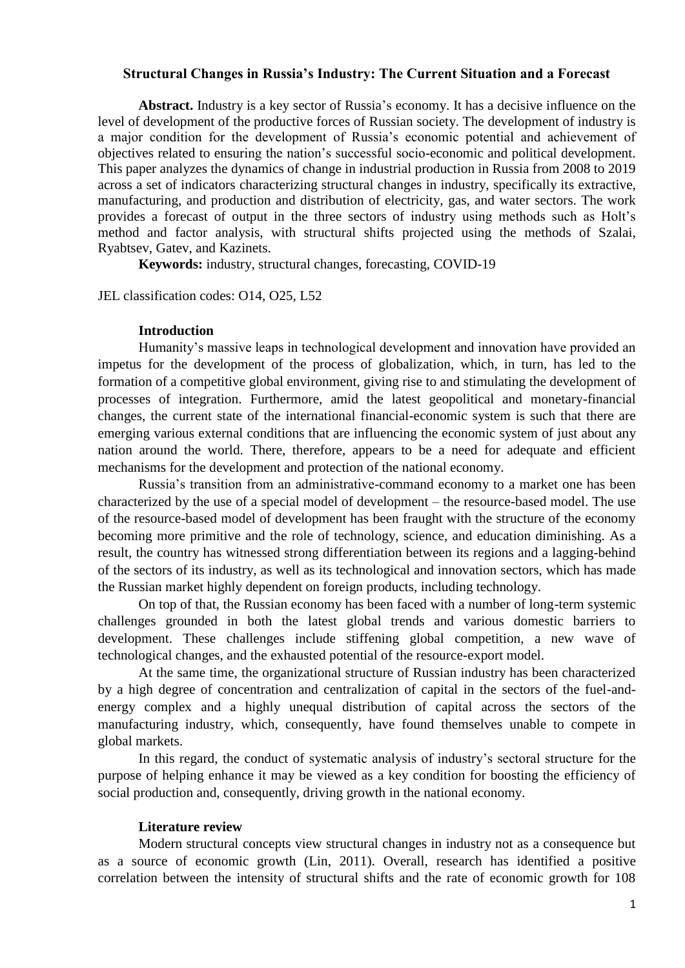## **Structural Changes in Russia's Industry: The Current Situation and a Forecast**

**Abstract.** Industry is a key sector of Russia's economy. It has a decisive influence on the level of development of the productive forces of Russian society. The development of industry is a major condition for the development of Russia's economic potential and achievement of objectives related to ensuring the nation's successful socio-economic and political development. This paper analyzes the dynamics of change in industrial production in Russia from 2008 to 2019 across a set of indicators characterizing structural changes in industry, specifically its extractive, manufacturing, and production and distribution of electricity, gas, and water sectors. The work provides a forecast of output in the three sectors of industry using methods such as Holt's method and factor analysis, with structural shifts projected using the methods of Szalai, Ryabtsev, Gatev, and Kazinets.

**Keywords:** industry, structural changes, forecasting, COVID-19

JEL classification codes: O14, O25, L52

#### **Introduction**

Humanity's massive leaps in technological development and innovation have provided an impetus for the development of the process of globalization, which, in turn, has led to the formation of a competitive global environment, giving rise to and stimulating the development of processes of integration. Furthermore, amid the latest geopolitical and monetary-financial changes, the current state of the international financial-economic system is such that there are emerging various external conditions that are influencing the economic system of just about any nation around the world. There, therefore, appears to be a need for adequate and efficient mechanisms for the development and protection of the national economy.

Russia's transition from an administrative-command economy to a market one has been characterized by the use of a special model of development – the resource-based model. The use of the resource-based model of development has been fraught with the structure of the economy becoming more primitive and the role of technology, science, and education diminishing. As a result, the country has witnessed strong differentiation between its regions and a lagging-behind of the sectors of its industry, as well as its technological and innovation sectors, which has made the Russian market highly dependent on foreign products, including technology.

On top of that, the Russian economy has been faced with a number of long-term systemic challenges grounded in both the latest global trends and various domestic barriers to development. These challenges include stiffening global competition, a new wave of technological changes, and the exhausted potential of the resource-export model.

At the same time, the organizational structure of Russian industry has been characterized by a high degree of concentration and centralization of capital in the sectors of the fuel-andenergy complex and a highly unequal distribution of capital across the sectors of the manufacturing industry, which, consequently, have found themselves unable to compete in global markets.

In this regard, the conduct of systematic analysis of industry's sectoral structure for the purpose of helping enhance it may be viewed as a key condition for boosting the efficiency of social production and, consequently, driving growth in the national economy.

## **Literature review**

Modern structural concepts view structural changes in industry not as a consequence but as a source of economic growth (Lin, 2011). Overall, research has identified a positive correlation between the intensity of structural shifts and the rate of economic growth for 108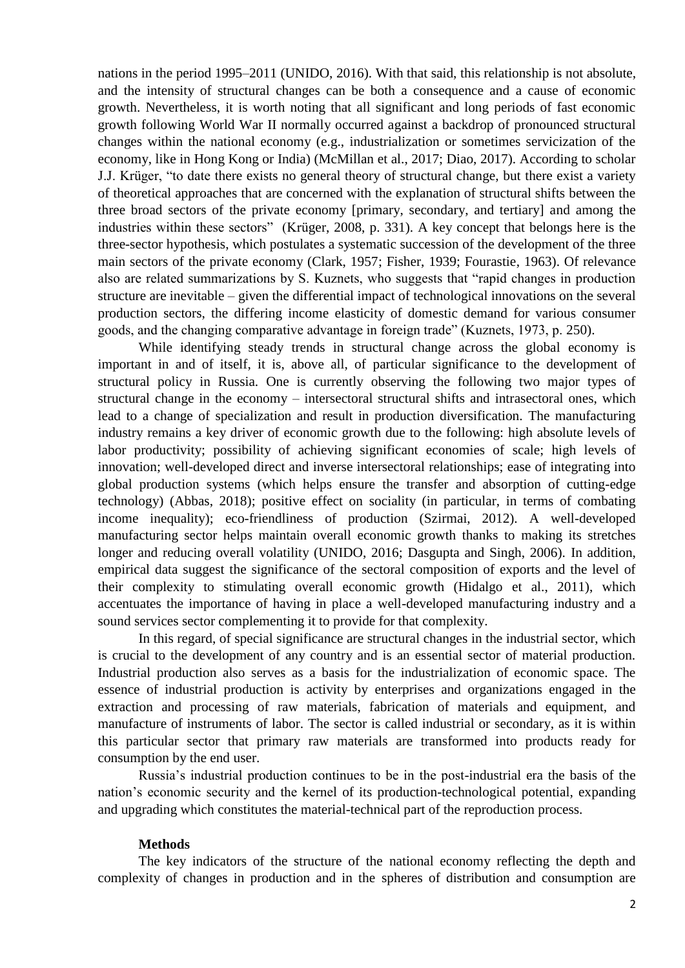nations in the period 1995–2011 (UNIDO, 2016). With that said, this relationship is not absolute, and the intensity of structural changes can be both a consequence and a cause of economic growth. Nevertheless, it is worth noting that all significant and long periods of fast economic growth following World War II normally occurred against a backdrop of pronounced structural changes within the national economy (e.g., industrialization or sometimes servicization of the economy, like in Hong Kong or India) (McMillan et al., 2017; Diao, 2017). According to scholar J.J. Krüger, "to date there exists no general theory of structural change, but there exist a variety of theoretical approaches that are concerned with the explanation of structural shifts between the three broad sectors of the private economy [primary, secondary, and tertiary] and among the industries within these sectors" (Krüger, 2008, p. 331). A key concept that belongs here is the three-sector hypothesis, which postulates a systematic succession of the development of the three main sectors of the private economy (Clark, 1957; Fisher, 1939; Fourastie, 1963). Of relevance also are related summarizations by S. Kuznets, who suggests that "rapid changes in production structure are inevitable – given the differential impact of technological innovations on the several production sectors, the differing income elasticity of domestic demand for various consumer goods, and the changing comparative advantage in foreign trade" (Kuznets, 1973, p. 250).

While identifying steady trends in structural change across the global economy is important in and of itself, it is, above all, of particular significance to the development of structural policy in Russia. One is currently observing the following two major types of structural change in the economy – intersectoral structural shifts and intrasectoral ones, which lead to a change of specialization and result in production diversification. The manufacturing industry remains a key driver of economic growth due to the following: high absolute levels of labor productivity; possibility of achieving significant economies of scale; high levels of innovation; well-developed direct and inverse intersectoral relationships; ease of integrating into global production systems (which helps ensure the transfer and absorption of cutting-edge technology) (Abbas, 2018); positive effect on sociality (in particular, in terms of combating income inequality); eco-friendliness of production (Szirmai, 2012). A well-developed manufacturing sector helps maintain overall economic growth thanks to making its stretches longer and reducing overall volatility (UNIDO, 2016; Dasgupta and Singh, 2006). In addition, empirical data suggest the significance of the sectoral composition of exports and the level of their complexity to stimulating overall economic growth (Hidalgo et al., 2011), which accentuates the importance of having in place a well-developed manufacturing industry and a sound services sector complementing it to provide for that complexity.

In this regard, of special significance are structural changes in the industrial sector, which is crucial to the development of any country and is an essential sector of material production. Industrial production also serves as a basis for the industrialization of economic space. The essence of industrial production is activity by enterprises and organizations engaged in the extraction and processing of raw materials, fabrication of materials and equipment, and manufacture of instruments of labor. The sector is called industrial or secondary, as it is within this particular sector that primary raw materials are transformed into products ready for consumption by the end user.

Russia's industrial production continues to be in the post-industrial era the basis of the nation's economic security and the kernel of its production-technological potential, expanding and upgrading which constitutes the material-technical part of the reproduction process.

# **Methods**

The key indicators of the structure of the national economy reflecting the depth and complexity of changes in production and in the spheres of distribution and consumption are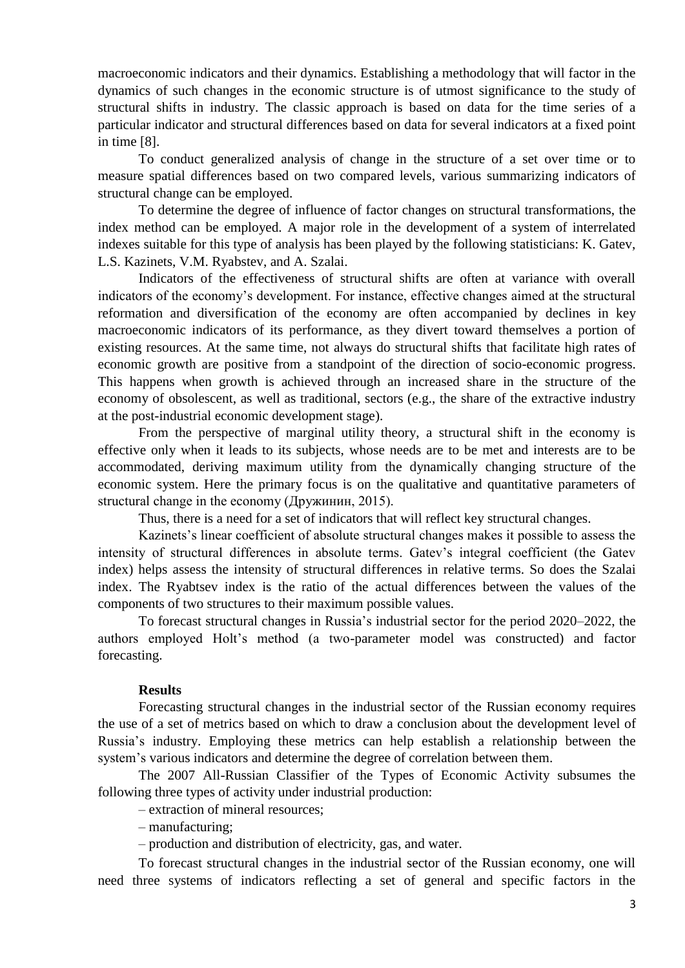macroeconomic indicators and their dynamics. Establishing a methodology that will factor in the dynamics of such changes in the economic structure is of utmost significance to the study of structural shifts in industry. The classic approach is based on data for the time series of a particular indicator and structural differences based on data for several indicators at a fixed point in time [8].

To conduct generalized analysis of change in the structure of a set over time or to measure spatial differences based on two compared levels, various summarizing indicators of structural change can be employed.

To determine the degree of influence of factor changes on structural transformations, the index method can be employed. A major role in the development of a system of interrelated indexes suitable for this type of analysis has been played by the following statisticians: K. Gatev, L.S. Kazinets, V.M. Ryabstev, and A. Szalai.

Indicators of the effectiveness of structural shifts are often at variance with overall indicators of the economy's development. For instance, effective changes aimed at the structural reformation and diversification of the economy are often accompanied by declines in key macroeconomic indicators of its performance, as they divert toward themselves a portion of existing resources. At the same time, not always do structural shifts that facilitate high rates of economic growth are positive from a standpoint of the direction of socio-economic progress. This happens when growth is achieved through an increased share in the structure of the economy of obsolescent, as well as traditional, sectors (e.g., the share of the extractive industry at the post-industrial economic development stage).

From the perspective of marginal utility theory, a structural shift in the economy is effective only when it leads to its subjects, whose needs are to be met and interests are to be accommodated, deriving maximum utility from the dynamically changing structure of the economic system. Here the primary focus is on the qualitative and quantitative parameters of structural change in the economy (Дружинин, 2015).

Thus, there is a need for a set of indicators that will reflect key structural changes.

Kazinets's linear coefficient of absolute structural changes makes it possible to assess the intensity of structural differences in absolute terms. Gatev's integral coefficient (the Gatev index) helps assess the intensity of structural differences in relative terms. So does the Szalai index. The Ryabtsev index is the ratio of the actual differences between the values of the components of two structures to their maximum possible values.

To forecast structural changes in Russia's industrial sector for the period 2020–2022, the authors employed Holt's method (a two-parameter model was constructed) and factor forecasting.

# **Results**

Forecasting structural changes in the industrial sector of the Russian economy requires the use of a set of metrics based on which to draw a conclusion about the development level of Russia's industry. Employing these metrics can help establish a relationship between the system's various indicators and determine the degree of correlation between them.

The 2007 All-Russian Classifier of the Types of Economic Activity subsumes the following three types of activity under industrial production:

– extraction of mineral resources;

– manufacturing;

– production and distribution of electricity, gas, and water.

To forecast structural changes in the industrial sector of the Russian economy, one will need three systems of indicators reflecting a set of general and specific factors in the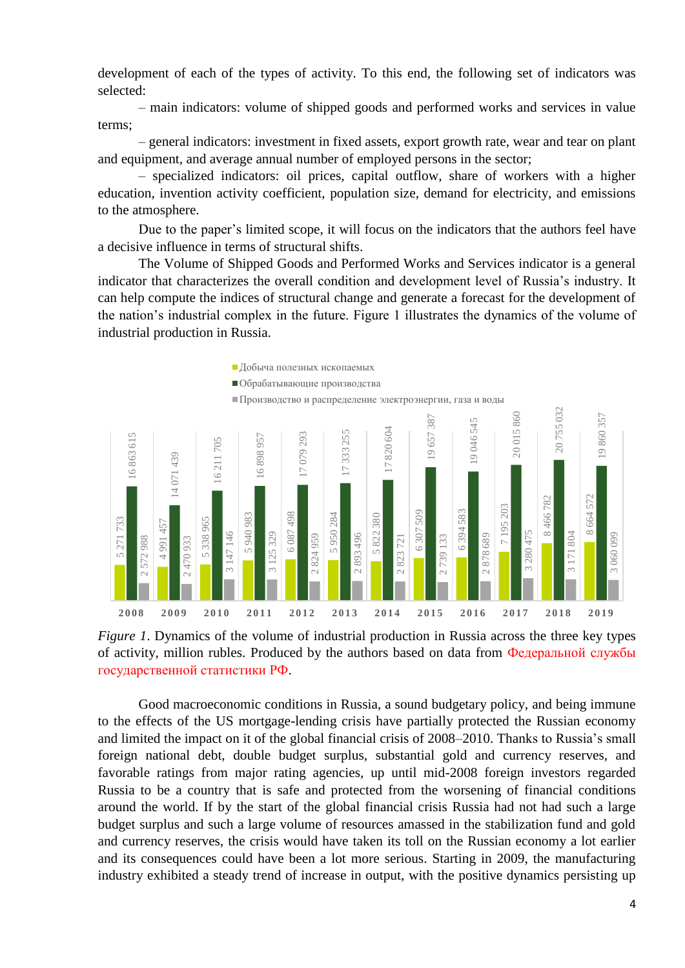development of each of the types of activity. To this end, the following set of indicators was selected:

– main indicators: volume of shipped goods and performed works and services in value terms;

– general indicators: investment in fixed assets, export growth rate, wear and tear on plant and equipment, and average annual number of employed persons in the sector;

– specialized indicators: oil prices, capital outflow, share of workers with a higher education, invention activity coefficient, population size, demand for electricity, and emissions to the atmosphere.

Due to the paper's limited scope, it will focus on the indicators that the authors feel have a decisive influence in terms of structural shifts.

The Volume of Shipped Goods and Performed Works and Services indicator is a general indicator that characterizes the overall condition and development level of Russia's industry. It can help compute the indices of structural change and generate a forecast for the development of the nation's industrial complex in the future. Figure 1 illustrates the dynamics of the volume of industrial production in Russia.





Good macroeconomic conditions in Russia, a sound budgetary policy, and being immune to the effects of the US mortgage-lending crisis have partially protected the Russian economy and limited the impact on it of the global financial crisis of 2008–2010. Thanks to Russia's small foreign national debt, double budget surplus, substantial gold and currency reserves, and favorable ratings from major rating agencies, up until mid-2008 foreign investors regarded Russia to be a country that is safe and protected from the worsening of financial conditions around the world. If by the start of the global financial crisis Russia had not had such a large budget surplus and such a large volume of resources amassed in the stabilization fund and gold and currency reserves, the crisis would have taken its toll on the Russian economy a lot earlier and its consequences could have been a lot more serious. Starting in 2009, the manufacturing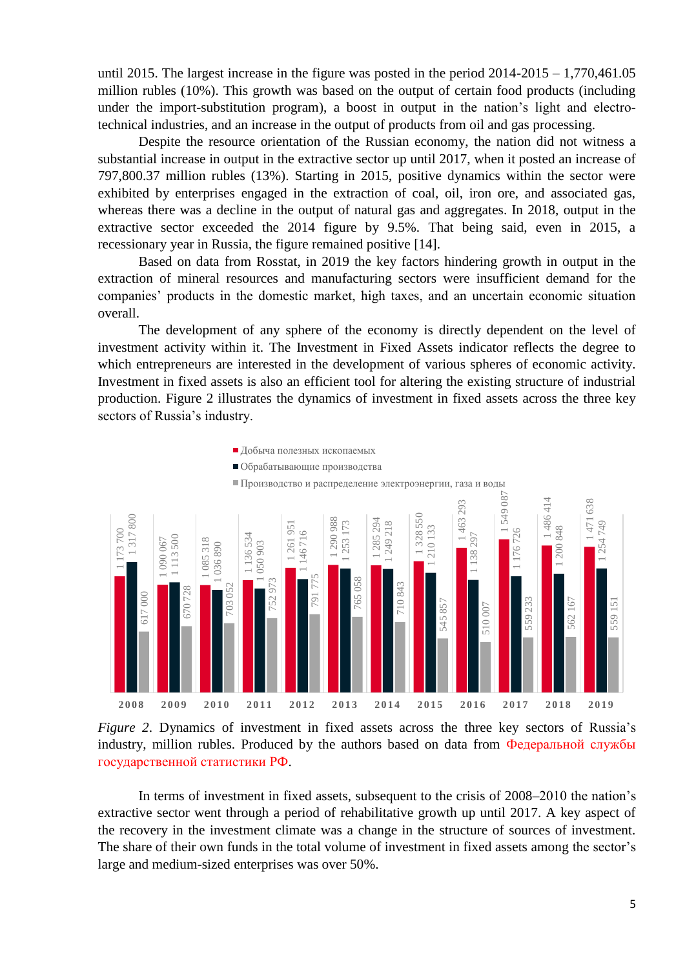until 2015. The largest increase in the figure was posted in the period  $2014$ - $2015 - 1,770,461.05$ million rubles (10%). This growth was based on the output of certain food products (including under the import-substitution program), a boost in output in the nation's light and electrotechnical industries, and an increase in the output of products from oil and gas processing.

Despite the resource orientation of the Russian economy, the nation did not witness a substantial increase in output in the extractive sector up until 2017, when it posted an increase of 797,800.37 million rubles (13%). Starting in 2015, positive dynamics within the sector were exhibited by enterprises engaged in the extraction of coal, oil, iron ore, and associated gas, whereas there was a decline in the output of natural gas and aggregates. In 2018, output in the extractive sector exceeded the 2014 figure by 9.5%. That being said, even in 2015, a recessionary year in Russia, the figure remained positive [14].

Based on data from Rosstat, in 2019 the key factors hindering growth in output in the extraction of mineral resources and manufacturing sectors were insufficient demand for the companies' products in the domestic market, high taxes, and an uncertain economic situation overall.

The development of any sphere of the economy is directly dependent on the level of investment activity within it. The Investment in Fixed Assets indicator reflects the degree to which entrepreneurs are interested in the development of various spheres of economic activity. Investment in fixed assets is also an efficient tool for altering the existing structure of industrial production. Figure 2 illustrates the dynamics of investment in fixed assets across the three key sectors of Russia's industry.





In terms of investment in fixed assets, subsequent to the crisis of 2008–2010 the nation's extractive sector went through a period of rehabilitative growth up until 2017. A key aspect of the recovery in the investment climate was a change in the structure of sources of investment. The share of their own funds in the total volume of investment in fixed assets among the sector's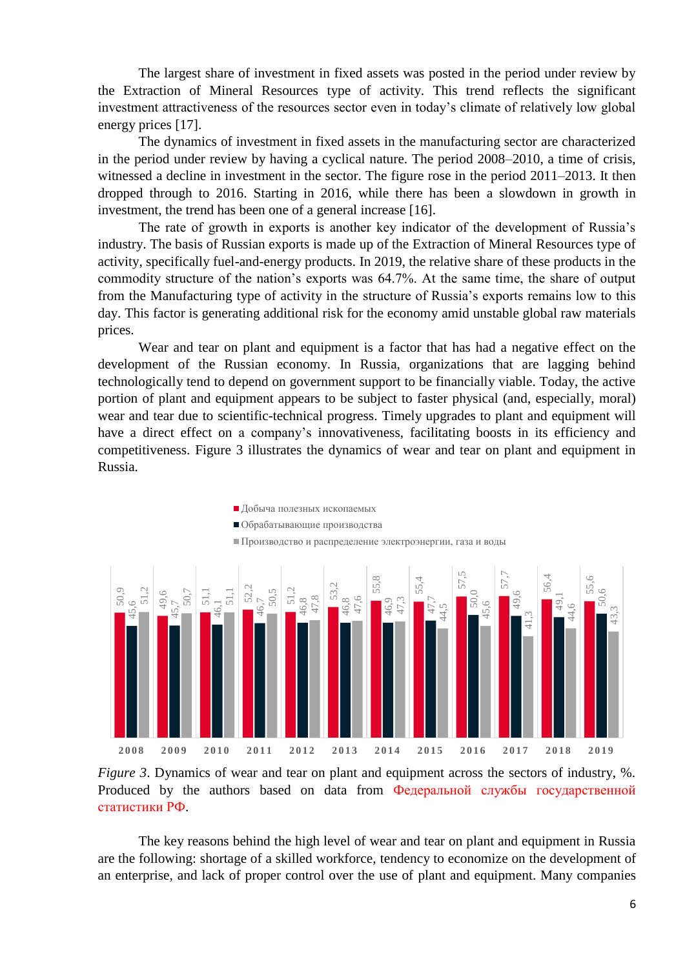The largest share of investment in fixed assets was posted in the period under review by the Extraction of Mineral Resources type of activity. This trend reflects the significant investment attractiveness of the resources sector even in today's climate of relatively low global energy prices [17].

The dynamics of investment in fixed assets in the manufacturing sector are characterized in the period under review by having a cyclical nature. The period 2008–2010, a time of crisis, witnessed a decline in investment in the sector. The figure rose in the period 2011–2013. It then dropped through to 2016. Starting in 2016, while there has been a slowdown in growth in investment, the trend has been one of a general increase [16].

The rate of growth in exports is another key indicator of the development of Russia's industry. The basis of Russian exports is made up of the Extraction of Mineral Resources type of activity, specifically fuel-and-energy products. In 2019, the relative share of these products in the commodity structure of the nation's exports was 64.7%. At the same time, the share of output from the Manufacturing type of activity in the structure of Russia's exports remains low to this day. This factor is generating additional risk for the economy amid unstable global raw materials prices.

Wear and tear on plant and equipment is a factor that has had a negative effect on the development of the Russian economy. In Russia, organizations that are lagging behind technologically tend to depend on government support to be financially viable. Today, the active portion of plant and equipment appears to be subject to faster physical (and, especially, moral) wear and tear due to scientific-technical progress. Timely upgrades to plant and equipment will have a direct effect on a company's innovativeness, facilitating boosts in its efficiency and competitiveness. Figure 3 illustrates the dynamics of wear and tear on plant and equipment in Russia.





The key reasons behind the high level of wear and tear on plant and equipment in Russia are the following: shortage of a skilled workforce, tendency to economize on the development of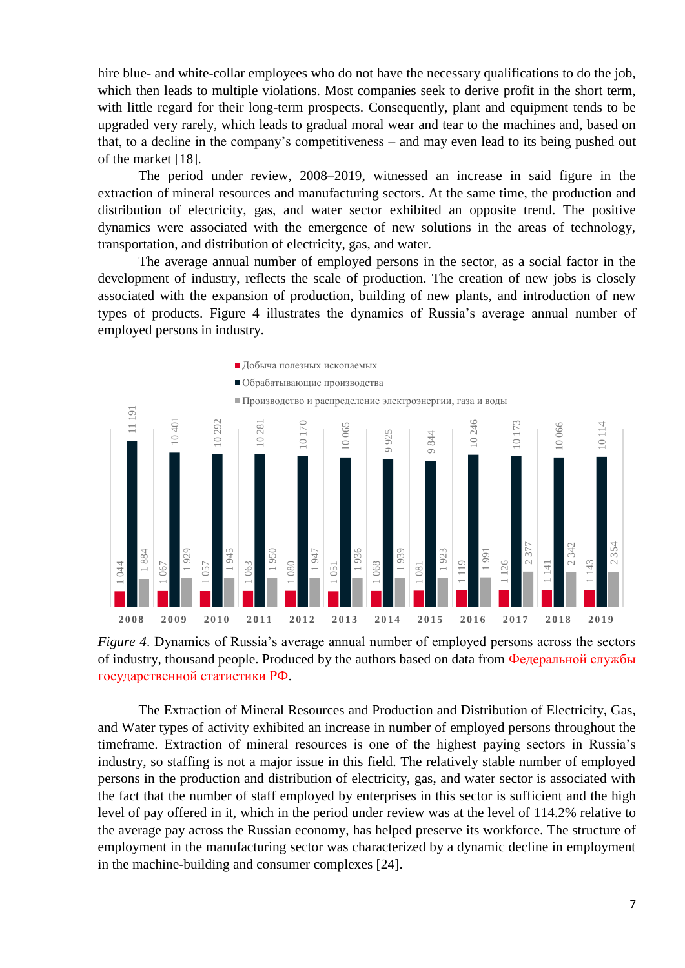hire blue- and white-collar employees who do not have the necessary qualifications to do the job, which then leads to multiple violations. Most companies seek to derive profit in the short term, with little regard for their long-term prospects. Consequently, plant and equipment tends to be upgraded very rarely, which leads to gradual moral wear and tear to the machines and, based on that, to a decline in the company's competitiveness – and may even lead to its being pushed out of the market [18].

The period under review, 2008–2019, witnessed an increase in said figure in the extraction of mineral resources and manufacturing sectors. At the same time, the production and distribution of electricity, gas, and water sector exhibited an opposite trend. The positive dynamics were associated with the emergence of new solutions in the areas of technology, transportation, and distribution of electricity, gas, and water.

The average annual number of employed persons in the sector, as a social factor in the development of industry, reflects the scale of production. The creation of new jobs is closely associated with the expansion of production, building of new plants, and introduction of new types of products. Figure 4 illustrates the dynamics of Russia's average annual number of employed persons in industry.





The Extraction of Mineral Resources and Production and Distribution of Electricity, Gas, and Water types of activity exhibited an increase in number of employed persons throughout the timeframe. Extraction of mineral resources is one of the highest paying sectors in Russia's industry, so staffing is not a major issue in this field. The relatively stable number of employed persons in the production and distribution of electricity, gas, and water sector is associated with the fact that the number of staff employed by enterprises in this sector is sufficient and the high level of pay offered in it, which in the period under review was at the level of 114.2% relative to the average pay across the Russian economy, has helped preserve its workforce. The structure of employment in the manufacturing sector was characterized by a dynamic decline in employment Figure 4. Dynamics of Russia's average annual numbor<br>
Trigure 4. Dynamics of Russia's average annual numbor<br>
of industry, thousand people. Produced by the authors b<br> **EXECUTE:** The Extraction of Mineral Resources and Prod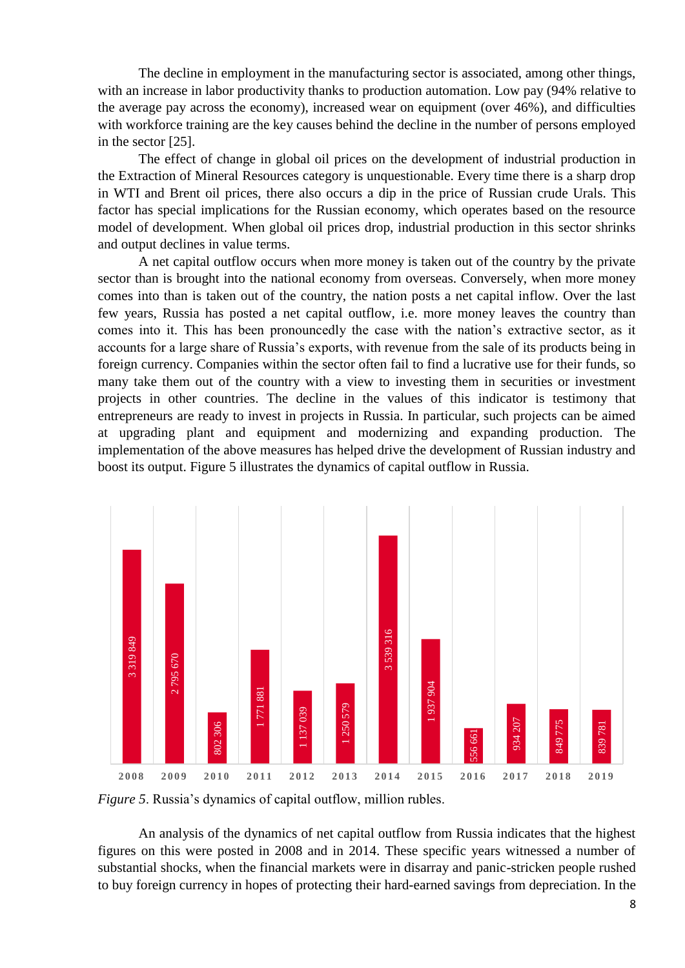The decline in employment in the manufacturing sector is associated, among other things, with an increase in labor productivity thanks to production automation. Low pay (94% relative to the average pay across the economy), increased wear on equipment (over 46%), and difficulties with workforce training are the key causes behind the decline in the number of persons employed in the sector [25].

The effect of change in global oil prices on the development of industrial production in the Extraction of Mineral Resources category is unquestionable. Every time there is a sharp drop in WTI and Brent oil prices, there also occurs a dip in the price of Russian crude Urals. This factor has special implications for the Russian economy, which operates based on the resource model of development. When global oil prices drop, industrial production in this sector shrinks and output declines in value terms.

A net capital outflow occurs when more money is taken out of the country by the private sector than is brought into the national economy from overseas. Conversely, when more money comes into than is taken out of the country, the nation posts a net capital inflow. Over the last few years, Russia has posted a net capital outflow, i.e. more money leaves the country than comes into it. This has been pronouncedly the case with the nation's extractive sector, as it accounts for a large share of Russia's exports, with revenue from the sale of its products being in foreign currency. Companies within the sector often fail to find a lucrative use for their funds, so many take them out of the country with a view to investing them in securities or investment projects in other countries. The decline in the values of this indicator is testimony that entrepreneurs are ready to invest in projects in Russia. In particular, such projects can be aimed at upgrading plant and equipment and modernizing and expanding production. The implementation of the above measures has helped drive the development of Russian industry and boost its output. Figure 5 illustrates the dynamics of capital outflow in Russia.



*Figure 5*. Russia's dynamics of capital outflow, million rubles.

An analysis of the dynamics of net capital outflow from Russia indicates that the highest figures on this were posted in 2008 and in 2014. These specific years witnessed a number of substantial shocks, when the financial markets were in disarray and panic-stricken people rushed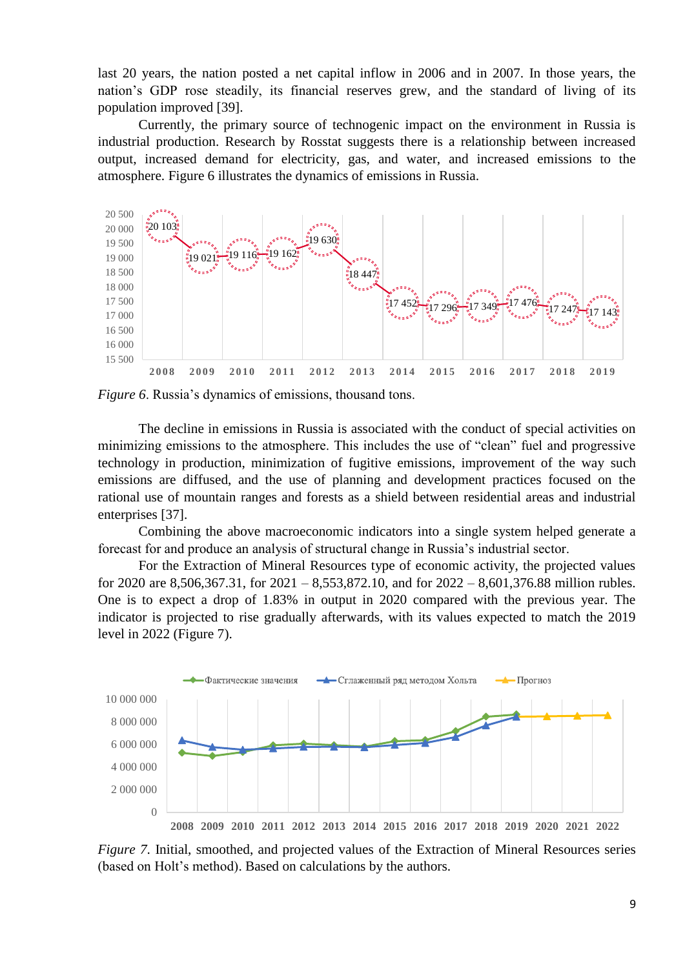last 20 years, the nation posted a net capital inflow in 2006 and in 2007. In those years, the nation's GDP rose steadily, its financial reserves grew, and the standard of living of its population improved [39].

Currently, the primary source of technogenic impact on the environment in Russia is industrial production. Research by Rosstat suggests there is a relationship between increased output, increased demand for electricity, gas, and water, and increased emissions to the atmosphere. Figure 6 illustrates the dynamics of emissions in Russia.



*Figure 6*. Russia's dynamics of emissions, thousand tons.

The decline in emissions in Russia is associated with the conduct of special activities on minimizing emissions to the atmosphere. This includes the use of "clean" fuel and progressive technology in production, minimization of fugitive emissions, improvement of the way such emissions are diffused, and the use of planning and development practices focused on the rational use of mountain ranges and forests as a shield between residential areas and industrial enterprises [37].

Combining the above macroeconomic indicators into a single system helped generate a forecast for and produce an analysis of structural change in Russia's industrial sector.

For the Extraction of Mineral Resources type of economic activity, the projected values for 2020 are 8,506,367.31, for 2021 – 8,553,872.10, and for 2022 – 8,601,376.88 million rubles. One is to expect a drop of 1.83% in output in 2020 compared with the previous year. The indicator is projected to rise gradually afterwards, with its values expected to match the 2019 level in 2022 (Figure 7).



*Figure* 7. Initial, smoothed, and projected values of the Extraction of Mineral Resources series (based on Holt's method). Based on calculations by the authors.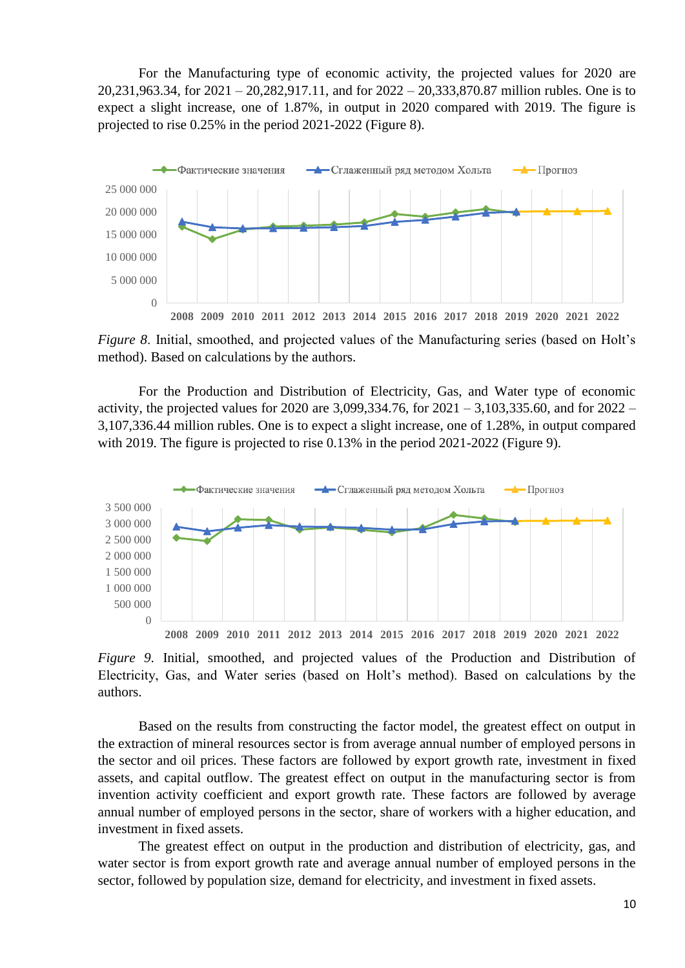For the Manufacturing type of economic activity, the projected values for 2020 are 20,231,963.34, for 2021 – 20,282,917.11, and for 2022 – 20,333,870.87 million rubles. One is to expect a slight increase, one of 1.87%, in output in 2020 compared with 2019. The figure is projected to rise 0.25% in the period 2021-2022 (Figure 8).



*Figure 8*. Initial, smoothed, and projected values of the Manufacturing series (based on Holt's method). Based on calculations by the authors.

For the Production and Distribution of Electricity, Gas, and Water type of economic activity, the projected values for 2020 are 3,099,334.76, for 2021 – 3,103,335.60, and for 2022 – 3,107,336.44 million rubles. One is to expect a slight increase, one of 1.28%, in output compared with 2019. The figure is projected to rise 0.13% in the period 2021-2022 (Figure 9).



*Figure 9*. Initial, smoothed, and projected values of the Production and Distribution of Electricity, Gas, and Water series (based on Holt's method). Based on calculations by the authors.

Based on the results from constructing the factor model, the greatest effect on output in the extraction of mineral resources sector is from average annual number of employed persons in the sector and oil prices. These factors are followed by export growth rate, investment in fixed assets, and capital outflow. The greatest effect on output in the manufacturing sector is from invention activity coefficient and export growth rate. These factors are followed by average annual number of employed persons in the sector, share of workers with a higher education, and investment in fixed assets.

The greatest effect on output in the production and distribution of electricity, gas, and water sector is from export growth rate and average annual number of employed persons in the sector, followed by population size, demand for electricity, and investment in fixed assets.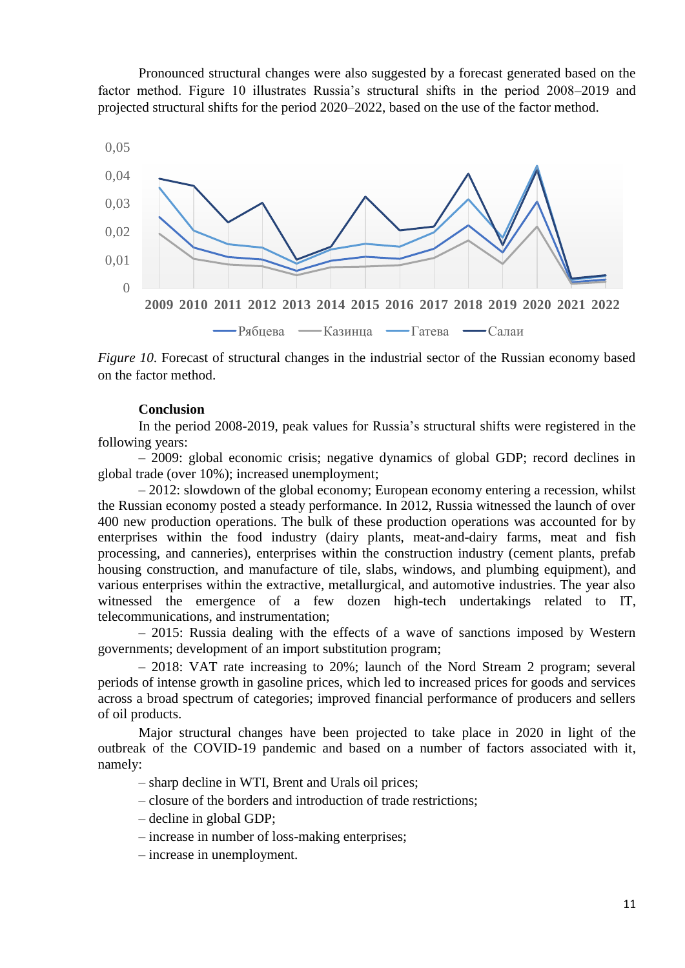Pronounced structural changes were also suggested by a forecast generated based on the factor method. Figure 10 illustrates Russia's structural shifts in the period 2008–2019 and projected structural shifts for the period 2020–2022, based on the use of the factor method.



*Figure 10*. Forecast of structural changes in the industrial sector of the Russian economy based on the factor method.

### **Conclusion**

In the period 2008-2019, peak values for Russia's structural shifts were registered in the following years:

– 2009: global economic crisis; negative dynamics of global GDP; record declines in global trade (over 10%); increased unemployment;

– 2012: slowdown of the global economy; European economy entering a recession, whilst the Russian economy posted a steady performance. In 2012, Russia witnessed the launch of over 400 new production operations. The bulk of these production operations was accounted for by enterprises within the food industry (dairy plants, meat-and-dairy farms, meat and fish processing, and canneries), enterprises within the construction industry (cement plants, prefab housing construction, and manufacture of tile, slabs, windows, and plumbing equipment), and various enterprises within the extractive, metallurgical, and automotive industries. The year also witnessed the emergence of a few dozen high-tech undertakings related to IT, telecommunications, and instrumentation;

– 2015: Russia dealing with the effects of a wave of sanctions imposed by Western governments; development of an import substitution program;

– 2018: VAT rate increasing to 20%; launch of the Nord Stream 2 program; several periods of intense growth in gasoline prices, which led to increased prices for goods and services across a broad spectrum of categories; improved financial performance of producers and sellers of oil products.

Major structural changes have been projected to take place in 2020 in light of the outbreak of the COVID-19 pandemic and based on a number of factors associated with it, namely:

- sharp decline in WTI, Brent and Urals oil prices;
- closure of the borders and introduction of trade restrictions;
- decline in global GDP;
- increase in number of loss-making enterprises;
- increase in unemployment.